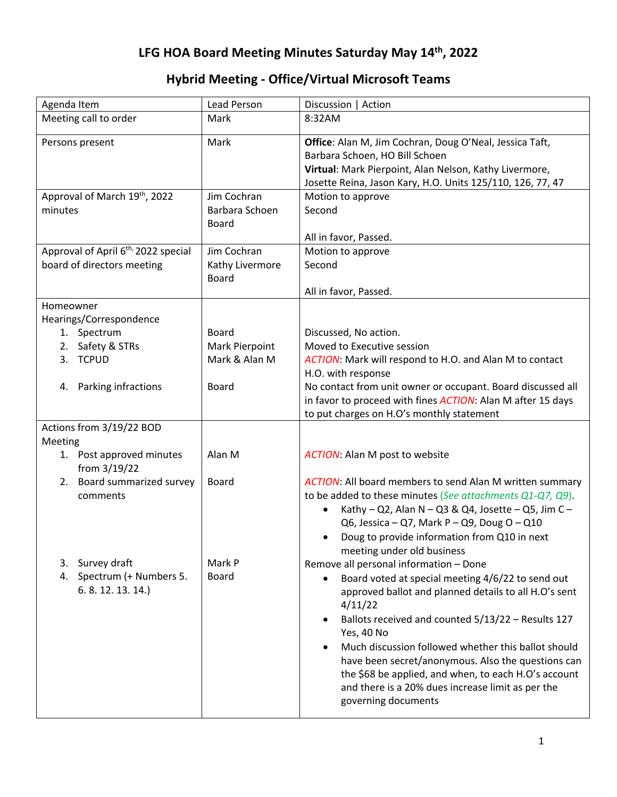## **LFG HOA Board Meeting Minutes Saturday May 14th, 2022**

## **Hybrid Meeting - Office/Virtual Microsoft Teams**

| Agenda Item                                     | Lead Person                    | Discussion   Action                                                 |
|-------------------------------------------------|--------------------------------|---------------------------------------------------------------------|
| Meeting call to order                           | Mark                           | 8:32AM                                                              |
| Persons present                                 | Mark                           | Office: Alan M, Jim Cochran, Doug O'Neal, Jessica Taft,             |
|                                                 |                                | Barbara Schoen, HO Bill Schoen                                      |
|                                                 |                                | Virtual: Mark Pierpoint, Alan Nelson, Kathy Livermore,              |
|                                                 |                                | Josette Reina, Jason Kary, H.O. Units 125/110, 126, 77, 47          |
| Approval of March 19th, 2022                    | Jim Cochran                    | Motion to approve                                                   |
| minutes                                         | Barbara Schoen<br><b>Board</b> | Second                                                              |
|                                                 |                                | All in favor, Passed.                                               |
| Approval of April 6 <sup>th,</sup> 2022 special | Jim Cochran                    | Motion to approve                                                   |
| board of directors meeting                      | Kathy Livermore                | Second                                                              |
|                                                 | <b>Board</b>                   |                                                                     |
|                                                 |                                | All in favor, Passed.                                               |
| Homeowner                                       |                                |                                                                     |
| Hearings/Correspondence                         |                                |                                                                     |
| 1. Spectrum                                     | <b>Board</b>                   | Discussed, No action.                                               |
| 2. Safety & STRs                                | Mark Pierpoint                 | Moved to Executive session                                          |
| 3. TCPUD                                        | Mark & Alan M                  | ACTION: Mark will respond to H.O. and Alan M to contact             |
|                                                 |                                | H.O. with response                                                  |
| Parking infractions<br>4.                       | <b>Board</b>                   | No contact from unit owner or occupant. Board discussed all         |
|                                                 |                                | in favor to proceed with fines <b>ACTION</b> : Alan M after 15 days |
|                                                 |                                | to put charges on H.O's monthly statement                           |
| Actions from 3/19/22 BOD                        |                                |                                                                     |
| Meeting                                         |                                |                                                                     |
| 1. Post approved minutes<br>from 3/19/22        | Alan M                         | <b>ACTION:</b> Alan M post to website                               |
| Board summarized survey<br>2.                   | Board                          | ACTION: All board members to send Alan M written summary            |
| comments                                        |                                | to be added to these minutes (See attachments Q1-Q7, Q9).           |
|                                                 |                                | Kathy - Q2, Alan N - Q3 & Q4, Josette - Q5, Jim C -                 |
|                                                 |                                | Q6, Jessica - Q7, Mark P - Q9, Doug O - Q10                         |
|                                                 |                                | Doug to provide information from Q10 in next                        |
|                                                 |                                | meeting under old business                                          |
| 3. Survey draft                                 | Mark P                         | Remove all personal information - Done                              |
| 4. Spectrum (+ Numbers 5.                       | <b>Board</b>                   | Board voted at special meeting 4/6/22 to send out                   |
| 6.8.12.13.14.                                   |                                | approved ballot and planned details to all H.O's sent               |
|                                                 |                                | 4/11/22                                                             |
|                                                 |                                | Ballots received and counted 5/13/22 - Results 127                  |
|                                                 |                                | Yes, 40 No                                                          |
|                                                 |                                | Much discussion followed whether this ballot should                 |
|                                                 |                                | have been secret/anonymous. Also the questions can                  |
|                                                 |                                | the \$68 be applied, and when, to each H.O's account                |
|                                                 |                                | and there is a 20% dues increase limit as per the                   |
|                                                 |                                | governing documents                                                 |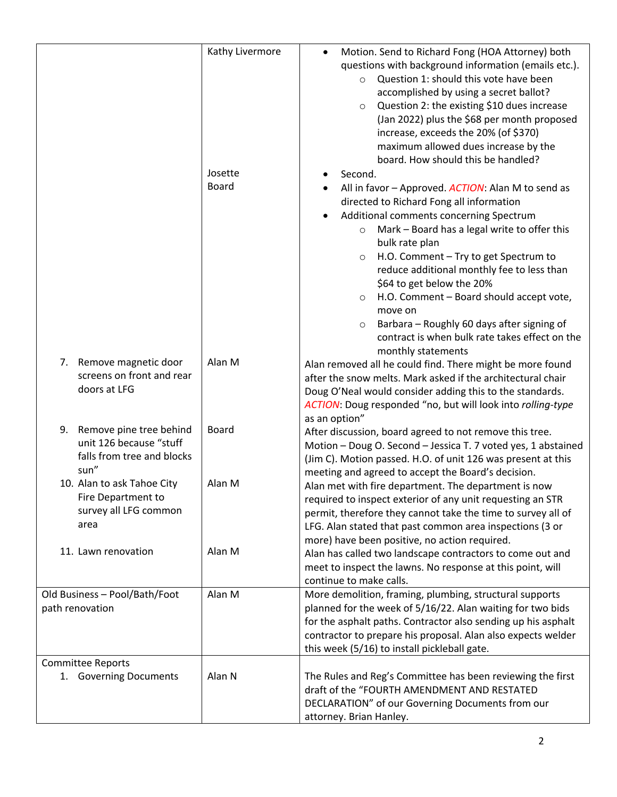|                                                                                                | Kathy Livermore<br>Josette<br><b>Board</b> | Motion. Send to Richard Fong (HOA Attorney) both<br>$\bullet$<br>questions with background information (emails etc.).<br>Question 1: should this vote have been<br>$\circ$<br>accomplished by using a secret ballot?<br>Question 2: the existing \$10 dues increase<br>$\circ$<br>(Jan 2022) plus the \$68 per month proposed<br>increase, exceeds the 20% (of \$370)<br>maximum allowed dues increase by the<br>board. How should this be handled?<br>Second.<br>All in favor - Approved. ACTION: Alan M to send as<br>directed to Richard Fong all information<br>Additional comments concerning Spectrum<br>$\bullet$<br>Mark - Board has a legal write to offer this<br>$\circ$<br>bulk rate plan<br>H.O. Comment - Try to get Spectrum to<br>$\circ$<br>reduce additional monthly fee to less than<br>\$64 to get below the 20%<br>H.O. Comment - Board should accept vote,<br>$\circ$<br>move on<br>Barbara - Roughly 60 days after signing of<br>$\circ$<br>contract is when bulk rate takes effect on the |
|------------------------------------------------------------------------------------------------|--------------------------------------------|-------------------------------------------------------------------------------------------------------------------------------------------------------------------------------------------------------------------------------------------------------------------------------------------------------------------------------------------------------------------------------------------------------------------------------------------------------------------------------------------------------------------------------------------------------------------------------------------------------------------------------------------------------------------------------------------------------------------------------------------------------------------------------------------------------------------------------------------------------------------------------------------------------------------------------------------------------------------------------------------------------------------|
| Remove magnetic door<br>7.<br>screens on front and rear<br>doors at LFG                        | Alan M                                     | monthly statements<br>Alan removed all he could find. There might be more found<br>after the snow melts. Mark asked if the architectural chair<br>Doug O'Neal would consider adding this to the standards.<br>ACTION: Doug responded "no, but will look into rolling-type<br>as an option"                                                                                                                                                                                                                                                                                                                                                                                                                                                                                                                                                                                                                                                                                                                        |
| 9.<br>Remove pine tree behind<br>unit 126 because "stuff<br>falls from tree and blocks<br>sun" | <b>Board</b>                               | After discussion, board agreed to not remove this tree.<br>Motion - Doug O. Second - Jessica T. 7 voted yes, 1 abstained<br>(Jim C). Motion passed. H.O. of unit 126 was present at this<br>meeting and agreed to accept the Board's decision.                                                                                                                                                                                                                                                                                                                                                                                                                                                                                                                                                                                                                                                                                                                                                                    |
| 10. Alan to ask Tahoe City<br>Fire Department to<br>survey all LFG common<br>area              | Alan M                                     | Alan met with fire department. The department is now<br>required to inspect exterior of any unit requesting an STR<br>permit, therefore they cannot take the time to survey all of<br>LFG. Alan stated that past common area inspections (3 or<br>more) have been positive, no action required.                                                                                                                                                                                                                                                                                                                                                                                                                                                                                                                                                                                                                                                                                                                   |
| 11. Lawn renovation                                                                            | Alan M                                     | Alan has called two landscape contractors to come out and<br>meet to inspect the lawns. No response at this point, will<br>continue to make calls.                                                                                                                                                                                                                                                                                                                                                                                                                                                                                                                                                                                                                                                                                                                                                                                                                                                                |
| Old Business - Pool/Bath/Foot<br>path renovation                                               | Alan M                                     | More demolition, framing, plumbing, structural supports<br>planned for the week of 5/16/22. Alan waiting for two bids<br>for the asphalt paths. Contractor also sending up his asphalt<br>contractor to prepare his proposal. Alan also expects welder<br>this week (5/16) to install pickleball gate.                                                                                                                                                                                                                                                                                                                                                                                                                                                                                                                                                                                                                                                                                                            |
| <b>Committee Reports</b><br>1. Governing Documents                                             | Alan N                                     | The Rules and Reg's Committee has been reviewing the first<br>draft of the "FOURTH AMENDMENT AND RESTATED<br>DECLARATION" of our Governing Documents from our<br>attorney. Brian Hanley.                                                                                                                                                                                                                                                                                                                                                                                                                                                                                                                                                                                                                                                                                                                                                                                                                          |